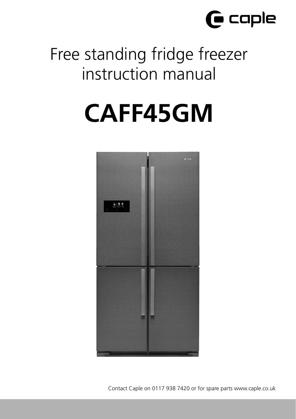

## Free standing fridge freezer instruction manual

# **CAFF45GM**



Contact Caple on 0117 938 7420 or for spare parts www.caple.co.uk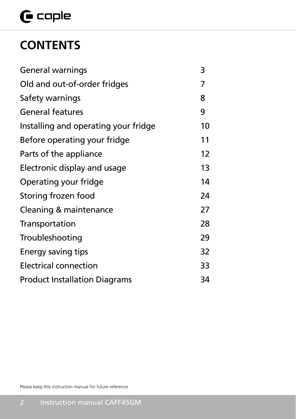## $\mathbf \Theta$  caple

## **CONTENTS**

| General warnings                     | 3  |
|--------------------------------------|----|
| Old and out-of-order fridges         | 7  |
| Safety warnings                      | 8  |
| <b>General features</b>              | 9  |
| Installing and operating your fridge | 10 |
| Before operating your fridge         | 11 |
| Parts of the appliance               | 12 |
| Electronic display and usage         | 13 |
| Operating your fridge                | 14 |
| Storing frozen food                  | 24 |
| Cleaning & maintenance               | 27 |
| Transportation                       | 28 |
| Troubleshooting                      | 29 |
| Energy saving tips                   | 32 |
| <b>Electrical connection</b>         | 33 |
| <b>Product Installation Diagrams</b> | 34 |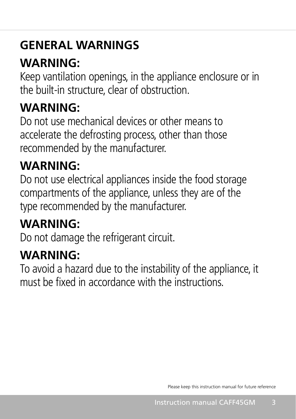## **GENERAL WARNINGS**

## **WARNING:**

Keep vantilation openings, in the appliance enclosure or in the built-in structure, clear of obstruction.

## **WARNING:**

Do not use mechanical devices or other means to accelerate the defrosting process, other than those recommended by the manufacturer.

## **WARNING:**

Do not use electrical appliances inside the food storage compartments of the appliance, unless they are of the type recommended by the manufacturer.

## **WARNING:**

Do not damage the refrigerant circuit.

## **WARNING:**

To avoid a hazard due to the instability of the appliance, it must be fixed in accordance with the instructions.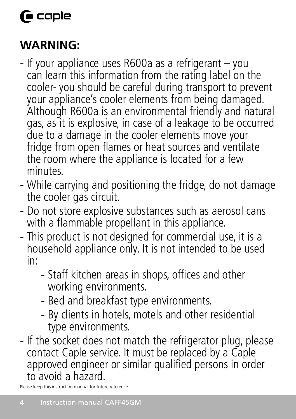## **G** caple

## **WARNING:**

- If your appliance uses R600a as a refrigerant you can learn this information from the rating label on the cooler- you should be careful during transport to prevent your appliance's cooler elements from being damaged. Although R600a is an environmental friendly and natural gas, as it is explosive, in case of a leakage to be occurred due to a damage in the cooler elements move your fridge from open flames or heat sources and ventilate the room where the appliance is located for a few minutes.
- While carrying and positioning the fridge, do not damage the cooler gas circuit.
- Do not store explosive substances such as aerosol cans with a flammable propellant in this appliance.
- This product is not designed for commercial use, it is a household appliance only. It is not intended to be used in:
	- Staff kitchen areas in shops, offices and other working environments.
	- Bed and breakfast type environments.
	- By clients in hotels, motels and other residential type environments.
- If the socket does not match the refrigerator plug, please contact Caple service. It must be replaced by a Caple approved engineer or similar qualified persons in order to avoid a hazard.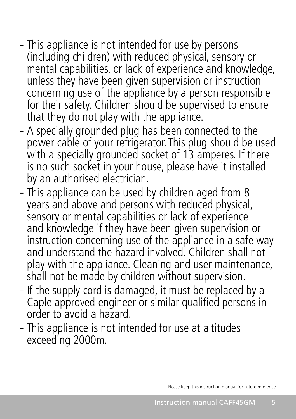- This appliance is not intended for use by persons (including children) with reduced physical, sensory or mental capabilities, or lack of experience and knowledge, unless they have been given supervision or instruction concerning use of the appliance by a person responsible for their safety. Children should be supervised to ensure that they do not play with the appliance.
- A specially grounded plug has been connected to the power cable of your refrigerator. This plug should be used with a specially grounded socket of 13 amperes. If there is no such socket in your house, please have it installed by an authorised electrician.
- This appliance can be used by children aged from 8 years and above and persons with reduced physical, sensory or mental capabilities or lack of experience and knowledge if they have been given supervision or instruction concerning use of the appliance in a safe way and understand the hazard involved. Children shall not play with the appliance. Cleaning and user maintenance, shall not be made by children without supervision.
- If the supply cord is damaged, it must be replaced by a Caple approved engineer or similar qualified persons in order to avoid a hazard.
- This appliance is not intended for use at altitudes exceeding 2000m.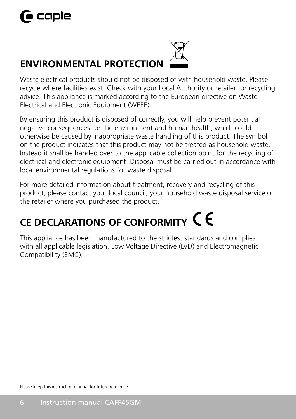## **ENVIRONMENTAL PROTECTION**



Waste electrical products should not be disposed of with household waste. Please recycle where facilities exist. Check with your Local Authority or retailer for recycling advice. This appliance is marked according to the European directive on Waste Electrical and Electronic Equipment (WEEE).

By ensuring this product is disposed of correctly, you will help prevent potential negative consequences for the environment and human health, which could otherwise be caused by inappropriate waste handling of this product. The symbol on the product indicates that this product may not be treated as household waste. Instead it shall be handed over to the applicable collection point for the recycling of electrical and electronic equipment. Disposal must be carried out in accordance with local environmental regulations for waste disposal.

For more detailed information about treatment, recovery and recycling of this product, please contact your local council, your household waste disposal service or the retailer where you purchased the product.

## **CE DECLARATIONS OF CONFORMITY**

This appliance has been manufactured to the strictest standards and complies with all applicable legislation, Low Voltage Directive (LVD) and Electromagnetic Compatibility (EMC).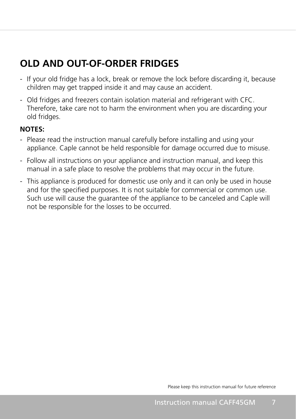## **OLD AND OUT-OF-ORDER FRIDGES**

- If your old fridge has a lock, break or remove the lock before discarding it, because children may get trapped inside it and may cause an accident.
- Old fridges and freezers contain isolation material and refrigerant with CFC. Therefore, take care not to harm the environment when you are discarding your old fridges.

#### **NOTES:**

- Please read the instruction manual carefully before installing and using your appliance. Caple cannot be held responsible for damage occurred due to misuse.
- Follow all instructions on your appliance and instruction manual, and keep this manual in a safe place to resolve the problems that may occur in the future.
- This appliance is produced for domestic use only and it can only be used in house and for the specified purposes. It is not suitable for commercial or common use. Such use will cause the guarantee of the appliance to be canceled and Caple will not be responsible for the losses to be occurred.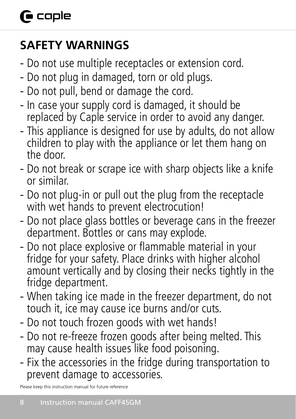## **SAFETY WARNINGS**

- Do not use multiple receptacles or extension cord.
- Do not plug in damaged, torn or old plugs.
- Do not pull, bend or damage the cord.
- In case your supply cord is damaged, it should be replaced by Caple service in order to avoid any danger.
- This appliance is designed for use by adults, do not allow children to play with the appliance or let them hang on the door.
- Do not break or scrape ice with sharp objects like a knife or similar.
- Do not plug-in or pull out the plug from the receptacle with wet hands to prevent electrocution!
- Do not place glass bottles or beverage cans in the freezer department. Bottles or cans may explode.
- Do not place explosive or flammable material in your fridge for your safety. Place drinks with higher alcohol amount vertically and by closing their necks tightly in the fridge department.
- When taking ice made in the freezer department, do not touch it, ice may cause ice burns and/or cuts.
- Do not touch frozen goods with wet hands!
- Do not re-freeze frozen goods after being melted. This may cause health issues like food poisoning.
- Fix the accessories in the fridge during transportation to prevent damage to accessories.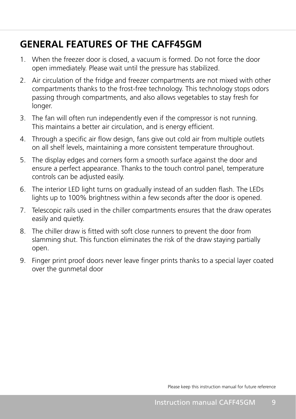### **GENERAL FEATURES OF THE CAFF45GM**

- 1. When the freezer door is closed, a vacuum is formed. Do not force the door open immediately. Please wait until the pressure has stabilized.
- 2. Air circulation of the fridge and freezer compartments are not mixed with other compartments thanks to the frost-free technology. This technology stops odors passing through compartments, and also allows vegetables to stay fresh for longer.
- 3. The fan will often run independently even if the compressor is not running. This maintains a better air circulation, and is energy efficient.
- 4. Through a specific air flow design, fans give out cold air from multiple outlets on all shelf levels, maintaining a more consistent temperature throughout.
- 5. The display edges and corners form a smooth surface against the door and ensure a perfect appearance. Thanks to the touch control panel, temperature controls can be adjusted easily.
- 6. The interior LED light turns on gradually instead of an sudden flash. The LEDs lights up to 100% brightness within a few seconds after the door is opened.
- 7. Telescopic rails used in the chiller compartments ensures that the draw operates easily and quietly.
- 8. The chiller draw is fitted with soft close runners to prevent the door from slamming shut. This function eliminates the risk of the draw staying partially open.
- 9. Finger print proof doors never leave finger prints thanks to a special layer coated over the gunmetal door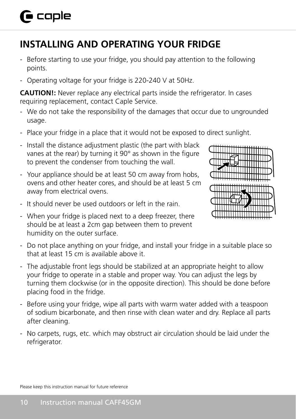## **INSTALLING AND OPERATING YOUR FRIDGE**

- Before starting to use your fridge, you should pay attention to the following points.
- Operating voltage for your fridge is 220-240 V at 50Hz.

**CAUTION!:** Never replace any electrical parts inside the refrigerator. In cases requiring replacement, contact Caple Service.

- We do not take the responsibility of the damages that occur due to ungrounded usage.
- Place your fridge in a place that it would not be exposed to direct sunlight.
- Install the distance adjustment plastic (the part with black vanes at the rear) by turning it 90° as shown in the figure to prevent the condenser from touching the wall.
- Your appliance should be at least 50 cm away from hobs, ovens and other heater cores, and should be at least 5 cm away from electrical ovens.
- It should never be used outdoors or left in the rain.
- When your fridge is placed next to a deep freezer, there should be at least a 2cm gap between them to prevent humidity on the outer surface.



- Do not place anything on your fridge, and install your fridge in a suitable place so that at least 15 cm is available above it.
- The adjustable front legs should be stabilized at an appropriate height to allow your fridge to operate in a stable and proper way. You can adjust the legs by turning them clockwise (or in the opposite direction). This should be done before placing food in the fridge.
- Before using your fridge, wipe all parts with warm water added with a teaspoon of sodium bicarbonate, and then rinse with clean water and dry. Replace all parts after cleaning.
- No carpets, rugs, etc. which may obstruct air circulation should be laid under the refrigerator.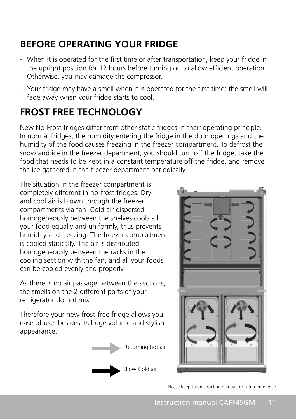## **BEFORE OPERATING YOUR FRIDGE**

- When it is operated for the first time or after transportation, keep your fridge in the upright position for 12 hours before turning on to allow efficient operation. Otherwise, you may damage the compressor.
- Your fridge may have a smell when it is operated for the first time; the smell will fade away when your fridge starts to cool.

## **FROST FREE TECHNOLOGY**

New No-Frost fridges differ from other static fridges in their operating principle. In normal fridges, the humidity entering the fridge in the door openings and the humidity of the food causes freezing in the freezer compartment. To defrost the snow and ice in the freezer department, you should turn off the fridge, take the food that needs to be kept in a constant temperature off the fridge, and remove the ice gathered in the freezer department periodically.

The situation in the freezer compartment is completely different in no-frost fridges. Dry and cool air is blown through the freezer compartments via fan. Cold air dispersed homogeneously between the shelves cools all your food equally and uniformly, thus prevents humidity and freezing. The freezer compartment is cooled statically. The air is distributed homogeneously between the racks in the cooling section with the fan, and all your foods can be cooled evenly and properly.

As there is no air passage between the sections, the smells on the 2 different parts of your refrigerator do not mix.

Therefore your new frost-free fridge allows you ease of use, besides its huge volume and stylish appearance.



Blow Cold air

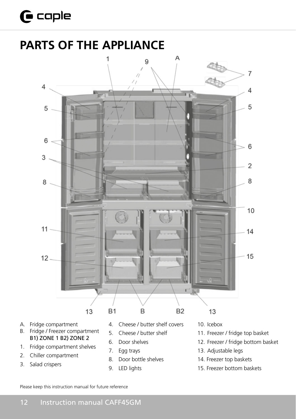## $\mathbf \Theta$  caple

## **PARTS OF THE APPLIANCE**



- A. Fridge compartment
- B. Fridge / Freezer compartment B1) ZONE 1 B2) ZONE 2
- 1. Fridge compartment shelves
- 2. Chiller compartment
- 3. Salad crispers
- 4. Cheese / butter shelf covers
- 5. Cheese / butter shelf
- 6. Door shelves
- 7. Egg trays
- 8. Door bottle shelves
- 9. LED lights
- 10. Icebox
- 11. Freezer / fridge top basket
- 12. Freezer / fridge bottom basket
- 13. Adjustable legs
- 14. Freezer top baskets
- 15. Freezer bottom baskets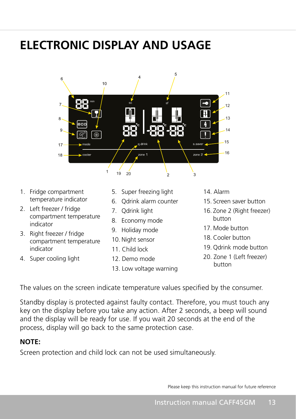## **ELECTRONIC DISPLAY AND USAGE**



- 1. Fridge compartment temperature indicator ompartment 5. Supermeez
- 2. Left freezer / fridge compartment temperature indicator 8. Economy mode
- 3. Right freezer / fridge compartment temperature indicator
- 4. Super cooling light
- ompartment and the S. Super freezing light 12. Demo mode
	- 6. Qdrink alarm counter
	- 7. Qdrink light
	- 8. Economy mode
	- 9. Holiday mode
	- 10. Night sensor
	- 11. Child lock
	- 12. Demo mode
	- 13. Low voltage warning
- 14. Alarm
- 15. Screen saver button
- 16. Zone 2 (Right freezer) button
	- 17. Mode button
- 18. Cooler button 20. Zone 1 (Left freezer) button
	- 19. Qdrink mode button
	- 20. Zone 1 (Left freezer) button

The values on the screen indicate temperature values specified by the consumer.

Standby display is protected against faulty contact. Therefore, you must touch any key on the display before you take any action. After 2 seconds, a beep will sound and the display will be ready for use. If you wait 20 seconds at the end of the process, display will go back to the same protection case.

### **NOTE:**

Screen protection and child lock can not be used simultaneously.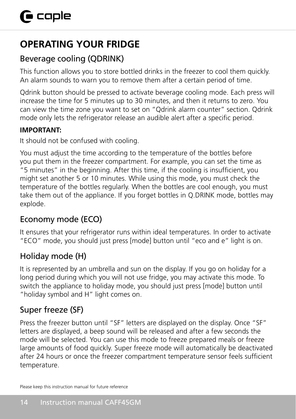## **OPERATING YOUR FRIDGE**

## Beverage cooling (QDRINK)

This function allows you to store bottled drinks in the freezer to cool them quickly. An alarm sounds to warn you to remove them after a certain period of time.

Qdrink button should be pressed to activate beverage cooling mode. Each press will increase the time for 5 minutes up to 30 minutes, and then it returns to zero. You can view the time zone you want to set on "Qdrink alarm counter" section. Qdrink mode only lets the refrigerator release an audible alert after a specific period.

### **IMPORTANT:**

It should not be confused with cooling.

You must adjust the time according to the temperature of the bottles before you put them in the freezer compartment. For example, you can set the time as "5 minutes" in the beginning. After this time, if the cooling is insufficient, you might set another 5 or 10 minutes. While using this mode, you must check the temperature of the bottles regularly. When the bottles are cool enough, you must take them out of the appliance. If you forget bottles in Q.DRINK mode, bottles may explode.

### Economy mode (ECO)

It ensures that your refrigerator runs within ideal temperatures. In order to activate "ECO" mode, you should just press [mode] button until "eco and e" light is on.

### Holiday mode (H)

It is represented by an umbrella and sun on the display. If you go on holiday for a long period during which you will not use fridge, you may activate this mode. To switch the appliance to holiday mode, you should just press [mode] button until "holiday symbol and H" light comes on.

## Super freeze (SF)

Press the freezer button until "SF" letters are displayed on the display. Once "SF" letters are displayed, a beep sound will be released and after a few seconds the mode will be selected. You can use this mode to freeze prepared meals or freeze large amounts of food quickly. Super freeze mode will automatically be deactivated after 24 hours or once the freezer compartment temperature sensor feels sufficient temperature.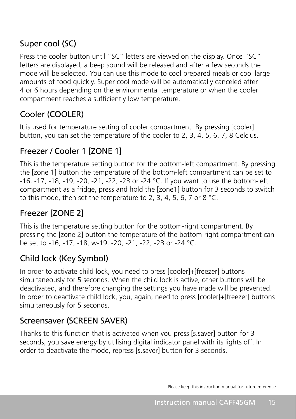### Super cool (SC)

Press the cooler button until "SC" letters are viewed on the display. Once "SC" letters are displayed, a beep sound will be released and after a few seconds the mode will be selected. You can use this mode to cool prepared meals or cool large amounts of food quickly. Super cool mode will be automatically canceled after 4 or 6 hours depending on the environmental temperature or when the cooler compartment reaches a sufficiently low temperature.

### Cooler (COOLER)

It is used for temperature setting of cooler compartment. By pressing [cooler] button, you can set the temperature of the cooler to 2, 3, 4, 5, 6, 7, 8 Celcius.

### Freezer / Cooler 1 [ZONE 1]

This is the temperature setting button for the bottom-left compartment. By pressing the [zone 1] button the temperature of the bottom-left compartment can be set to -16, -17, -18, -19, -20, -21, -22, -23 or -24 °C. If you want to use the bottom-left compartment as a fridge, press and hold the [zone1] button for 3 seconds to switch to this mode, then set the temperature to 2, 3, 4, 5, 6, 7 or 8 °C.

### Freezer [ZONE 2]

This is the temperature setting button for the bottom-right compartment. By pressing the [zone 2] button the temperature of the bottom-right compartment can be set to -16, -17, -18, w-19, -20, -21, -22, -23 or -24 °C.

### Child lock (Key Symbol)

In order to activate child lock, you need to press [cooler]+[freezer] buttons simultaneously for 5 seconds. When the child lock is active, other buttons will be deactivated, and therefore changing the settings you have made will be prevented. In order to deactivate child lock, you, again, need to press [cooler]+[freezer] buttons simultaneously for 5 seconds.

### Screensaver (SCREEN SAVER)

Thanks to this function that is activated when you press [s.saver] button for 3 seconds, you save energy by utilising digital indicator panel with its lights off. In order to deactivate the mode, repress [s.saver] button for 3 seconds.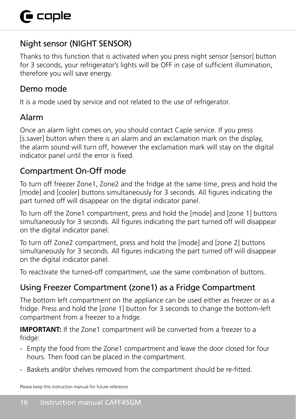### Night sensor (NIGHT SENSOR)

Thanks to this function that is activated when you press night sensor [sensor] button for 3 seconds, your refrigerator's lights will be OFF in case of sufficient illumination, therefore you will save energy.

### Demo mode

It is a mode used by service and not related to the use of refrigerator.

### Alarm

Once an alarm light comes on, you should contact Caple service. If you press [s.saver] button when there is an alarm and an exclamation mark on the display, the alarm sound will turn off, however the exclamation mark will stay on the digital indicator panel until the error is fixed.

### Compartment On-Off mode

To turn off freezer Zone1, Zone2 and the fridge at the same time, press and hold the [mode] and [cooler] buttons simultaneously for 3 seconds. All figures indicating the part turned off will disappear on the digital indicator panel.

To turn off the Zone1 compartment, press and hold the [mode] and [zone 1] buttons simultaneously for 3 seconds. All figures indicating the part turned off will disappear on the digital indicator panel.

To turn off Zone2 compartment, press and hold the [mode] and [zone 2] buttons simultaneously for 3 seconds. All figures indicating the part turned off will disappear on the digital indicator panel.

To reactivate the turned-off compartment, use the same combination of buttons.

### Using Freezer Compartment (zone1) as a Fridge Compartment

The bottom left compartment on the appliance can be used either as freezer or as a fridge. Press and hold the [zone 1] button for 3 seconds to change the bottom-left compartment from a freezer to a fridge.

**IMPORTANT:** If the Zone1 compartment will be converted from a freezer to a fridge:

- Empty the food from the Zone1 compartment and leave the door closed for four hours. Then food can be placed in the compartment.
- Baskets and/or shelves removed from the compartment should be re-fitted.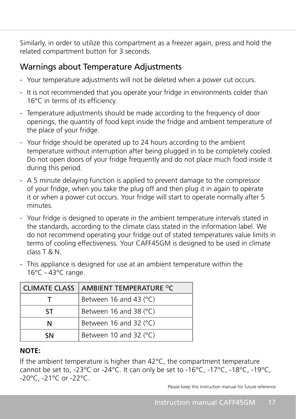Similarly, in order to utilize this compartment as a freezer again, press and hold the related compartment button for 3 seconds.

### Warnings about Temperature Adjustments

- Your temperature adjustments will not be deleted when a power cut occurs.
- It is not recommended that you operate your fridge in environments colder than 16°C in terms of its efficiency.
- Temperature adjustments should be made according to the frequency of door openings, the quantity of food kept inside the fridge and ambient temperature of the place of your fridge.
- Your fridge should be operated up to 24 hours according to the ambient temperature without interruption after being plugged in to be completely cooled. Do not open doors of your fridge frequently and do not place much food inside it during this period.
- A 5 minute delaying function is applied to prevent damage to the compressor of your fridge, when you take the plug off and then plug it in again to operate it or when a power cut occurs. Your fridge will start to operate normally after 5 minutes.
- Your fridge is designed to operate in the ambient temperature intervals stated in the standards, according to the climate class stated in the information label. We do not recommend operating your fridge out of stated temperatures value limits in terms of cooling effectiveness. Your CAFF45GM is designed to be used in climate class T & N.
- This appliance is designed for use at an ambient temperature within the 16°C - 43°C range.

| CLIMATE CLASS | AMBIENT TEMPERATURE <sup>O</sup> C |
|---------------|------------------------------------|
|               | Between 16 and 43 $(°C)$           |
| ٢Т            | Between 16 and 38 $(°C)$           |
| N             | Between 16 and 32 (°C)             |
| ۲N            | Between 10 and 32 (°C)             |

#### **NOTE:**

If the ambient temperature is higher than 42°C, the compartment temperature cannot be set to, -23°C or -24°C. It can only be set to -16°C, -17°C, -18°C, -19°C, -20°C, -21°C or -22°C.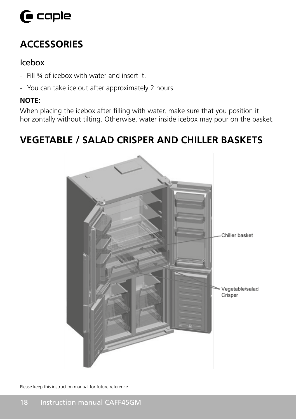## $\mathbf \Theta$  caple

## **ACCESSORIES**

### Icebox

- Fill ¾ of icebox with water and insert it.
- You can take ice out after approximately 2 hours.

### **NOTE:**

When placing the icebox after filling with water, make sure that you position it horizontally without tilting. Otherwise, water inside icebox may pour on the basket.

## **VEGETABLE / SALAD CRISPER AND CHILLER BASKETS**

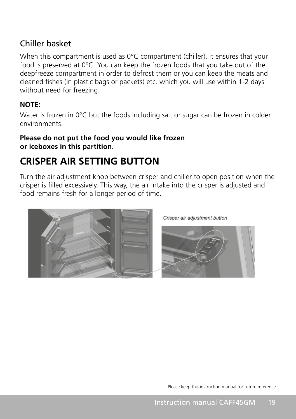### Chiller basket

When this compartment is used as 0°C compartment (chiller), it ensures that your food is preserved at 0°C. You can keep the frozen foods that you take out of the deepfreeze compartment in order to defrost them or you can keep the meats and cleaned fishes (in plastic bags or packets) etc. which you will use within 1-2 days without need for freezing.

### **NOTE:**

Water is frozen in 0°C but the foods including salt or sugar can be frozen in colder environments.

#### **Please do not put the food you would like frozen or iceboxes in this partition.**

## **CRISPER AIR SETTING BUTTON**

Turn the air adjustment knob between crisper and chiller to open position when the crisper is filled excessively. This way, the air intake into the crisper is adjusted and food remains fresh for a longer period of time.



Crisper air adiustment button

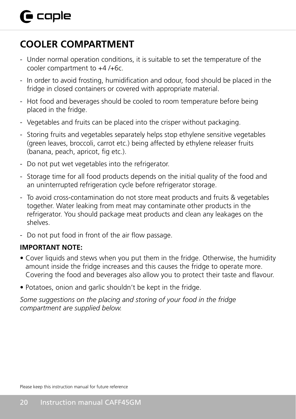## **COOLER COMPARTMENT**

- Under normal operation conditions, it is suitable to set the temperature of the cooler compartment to +4 /+6c.
- In order to avoid frosting, humidification and odour, food should be placed in the fridge in closed containers or covered with appropriate material.
- Hot food and beverages should be cooled to room temperature before being placed in the fridge.
- Vegetables and fruits can be placed into the crisper without packaging.
- Storing fruits and vegetables separately helps stop ethylene sensitive vegetables (green leaves, broccoli, carrot etc.) being affected by ethylene releaser fruits (banana, peach, apricot, fig etc.).
- Do not put wet vegetables into the refrigerator.
- Storage time for all food products depends on the initial quality of the food and an uninterrupted refrigeration cycle before refrigerator storage.
- To avoid cross-contamination do not store meat products and fruits & vegetables together. Water leaking from meat may contaminate other products in the refrigerator. You should package meat products and clean any leakages on the shelves.
- Do not put food in front of the air flow passage.

### **IMPORTANT NOTE:**

- Cover liquids and stews when you put them in the fridge. Otherwise, the humidity amount inside the fridge increases and this causes the fridge to operate more. Covering the food and beverages also allow you to protect their taste and flavour.
- Potatoes, onion and garlic shouldn't be kept in the fridge.

*Some suggestions on the placing and storing of your food in the fridge compartment are supplied below.*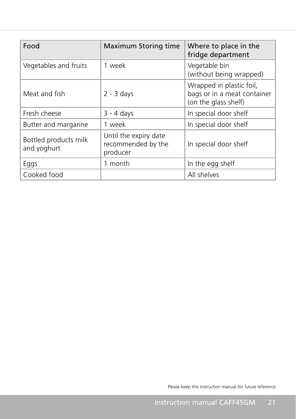| Food                                 | <b>Maximum Storing time</b>                             | Where to place in the<br>fridge department                                      |
|--------------------------------------|---------------------------------------------------------|---------------------------------------------------------------------------------|
| Vegetables and fruits                | 1 week                                                  | Vegetable bin<br>(without being wrapped)                                        |
| Meat and fish                        | $2 - 3$ days                                            | Wrapped in plastic foil,<br>bags or in a meat container<br>(on the glass shelf) |
| Fresh cheese                         | $3 - 4$ days                                            | In special door shelf                                                           |
| Butter and margarine                 | 1 week                                                  | In special door shelf                                                           |
| Bottled products milk<br>and yoghurt | Until the expiry date<br>recommended by the<br>producer | In special door shelf                                                           |
| Eggs                                 | 1 month                                                 | In the egg shelf                                                                |
| Cooked food                          |                                                         | All shelves                                                                     |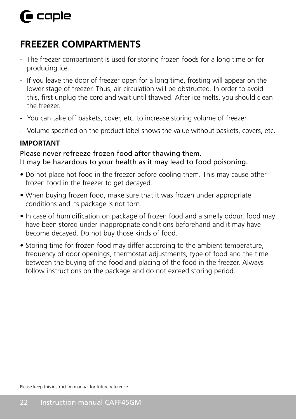## **FREEZER COMPARTMENTS**

- The freezer compartment is used for storing frozen foods for a long time or for producing ice.
- If you leave the door of freezer open for a long time, frosting will appear on the lower stage of freezer. Thus, air circulation will be obstructed. In order to avoid this, first unplug the cord and wait until thawed. After ice melts, you should clean the freezer.
- You can take off baskets, cover, etc. to increase storing volume of freezer.
- Volume specified on the product label shows the value without baskets, covers, etc.

#### **IMPORTANT**

#### Please never refreeze frozen food after thawing them. It may be hazardous to your health as it may lead to food poisoning.

- Do not place hot food in the freezer before cooling them. This may cause other frozen food in the freezer to get decayed.
- When buying frozen food, make sure that it was frozen under appropriate conditions and its package is not torn.
- In case of humidification on package of frozen food and a smelly odour, food may have been stored under inappropriate conditions beforehand and it may have become decayed. Do not buy those kinds of food.
- Storing time for frozen food may differ according to the ambient temperature, frequency of door openings, thermostat adjustments, type of food and the time between the buying of the food and placing of the food in the freezer. Always follow instructions on the package and do not exceed storing period.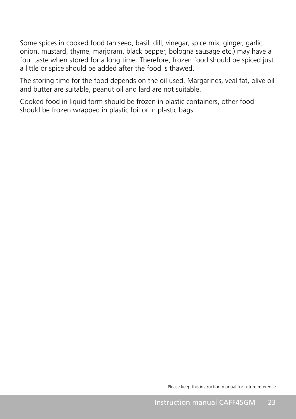Some spices in cooked food (aniseed, basil, dill, vinegar, spice mix, ginger, garlic, onion, mustard, thyme, marjoram, black pepper, bologna sausage etc.) may have a foul taste when stored for a long time. Therefore, frozen food should be spiced just a little or spice should be added after the food is thawed.

The storing time for the food depends on the oil used. Margarines, veal fat, olive oil and butter are suitable, peanut oil and lard are not suitable.

Cooked food in liquid form should be frozen in plastic containers, other food should be frozen wrapped in plastic foil or in plastic bags.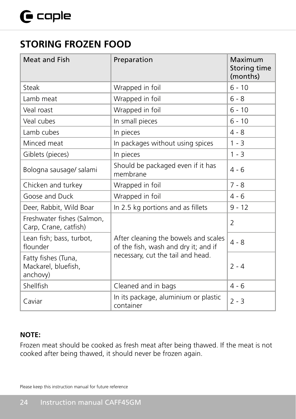### **STORING FROZEN FOOD**

| <b>Meat and Fish</b>                                   | Preparation                                                                  | Maximum<br>Storing time<br>(months) |
|--------------------------------------------------------|------------------------------------------------------------------------------|-------------------------------------|
| Steak                                                  | Wrapped in foil                                                              | $6 - 10$                            |
| Lamb meat                                              | Wrapped in foil                                                              | $6 - 8$                             |
| Veal roast                                             | Wrapped in foil                                                              | $6 - 10$                            |
| Veal cubes                                             | In small pieces                                                              | $6 - 10$                            |
| Lamb cubes                                             | In pieces                                                                    | $4 - 8$                             |
| Minced meat                                            | In packages without using spices                                             | $1 - 3$                             |
| Giblets (pieces)                                       | In pieces                                                                    | $1 - 3$                             |
| Bologna sausage/ salami                                | Should be packaged even if it has<br>membrane                                | $4 - 6$                             |
| Chicken and turkey                                     | Wrapped in foil                                                              | $7 - 8$                             |
| Goose and Duck                                         | Wrapped in foil                                                              | $4 - 6$                             |
| Deer, Rabbit, Wild Boar                                | In 2.5 kg portions and as fillets                                            | $9 - 12$                            |
| Freshwater fishes (Salmon,<br>Carp, Crane, catfish)    |                                                                              | 2                                   |
| Lean fish; bass, turbot,<br>flounder                   | After cleaning the bowels and scales<br>of the fish, wash and dry it; and if | $4 - 8$                             |
| Fatty fishes (Tuna,<br>Mackarel, bluefish,<br>anchovy) | necessary, cut the tail and head.                                            | $2 - 4$                             |
| Shellfish                                              | Cleaned and in bags                                                          | $4 - 6$                             |
| Caviar                                                 | In its package, aluminium or plastic<br>container                            | $2 - 3$                             |

#### **NOTE:**

Frozen meat should be cooked as fresh meat after being thawed. If the meat is not cooked after being thawed, it should never be frozen again.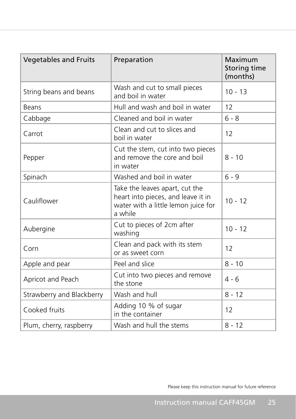| <b>Vegetables and Fruits</b> | Preparation                                                                                                            | Maximum<br>Storing time<br>(months) |
|------------------------------|------------------------------------------------------------------------------------------------------------------------|-------------------------------------|
| String beans and beans       | Wash and cut to small pieces<br>and boil in water                                                                      | $10 - 13$                           |
| Beans                        | Hull and wash and boil in water                                                                                        | 12                                  |
| Cabbage                      | Cleaned and boil in water                                                                                              | $6 - 8$                             |
| Carrot                       | Clean and cut to slices and<br>boil in water                                                                           | 12                                  |
| Pepper                       | Cut the stem, cut into two pieces<br>and remove the core and boil<br>in water                                          | $8 - 10$                            |
| Spinach                      | Washed and boil in water                                                                                               | $6 - 9$                             |
| Cauliflower                  | Take the leaves apart, cut the<br>heart into pieces, and leave it in<br>water with a little lemon juice for<br>a while | $10 - 12$                           |
| Aubergine                    | Cut to pieces of 2cm after<br>washing                                                                                  | $10 - 12$                           |
| Corn                         | Clean and pack with its stem<br>or as sweet corn                                                                       | 12                                  |
| Apple and pear               | Peel and slice                                                                                                         | $8 - 10$                            |
| Apricot and Peach            | Cut into two pieces and remove<br>the stone                                                                            | $4 - 6$                             |
| Strawberry and Blackberry    | Wash and hull                                                                                                          | $8 - 12$                            |
| Cooked fruits                | Adding 10 % of sugar<br>in the container                                                                               | 12                                  |
| Plum, cherry, raspberry      | Wash and hull the stems                                                                                                | $8 - 12$                            |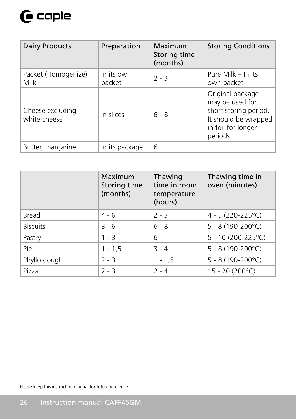## $\mathbf \Theta$  caple

| <b>Dairy Products</b>            | Preparation          | Maximum<br>Storing time<br>(months) | <b>Storing Conditions</b>                                                                                              |
|----------------------------------|----------------------|-------------------------------------|------------------------------------------------------------------------------------------------------------------------|
| Packet (Homogenize)<br>Milk      | In its own<br>packet | $2 - 3$                             | Pure Milk - In its<br>own packet                                                                                       |
| Cheese excluding<br>white cheese | In slices            | $6 - 8$                             | Original package<br>may be used for<br>short storing period.<br>It should be wrapped<br>in foil for longer<br>periods. |
| Butter, margarine                | In its package       | 6                                   |                                                                                                                        |

|                 | Maximum<br>Storing time<br>(months) | Thawing<br>time in room<br>temperature<br>(hours) | Thawing time in<br>oven (minutes) |
|-----------------|-------------------------------------|---------------------------------------------------|-----------------------------------|
| Bread           | $4 - 6$                             | $2 - 3$                                           | 4 - 5 (220-225°C)                 |
| <b>Biscuits</b> | $3 - 6$                             | $6 - 8$                                           | $5 - 8(190-200^{\circ}C)$         |
| Pastry          | $1 - 3$                             | 6                                                 | $5 - 10(200 - 225^{\circ}C)$      |
| Pie             | $1 - 1, 5$                          | $3 - 4$                                           | $5 - 8(190-200^{\circ}C)$         |
| Phyllo dough    | $2 - 3$                             | $1 - 1,5$                                         | $5 - 8(190-200^{\circ}C)$         |
| Pizza           | $2 - 3$                             | $2 - 4$                                           | 15 - 20 (200°C)                   |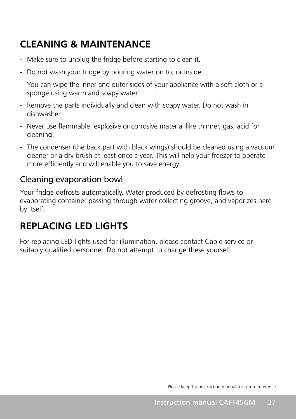## **CLEANING & MAINTENANCE**

- Make sure to unplug the fridge before starting to clean it.
- Do not wash your fridge by pouring water on to, or inside it.
- You can wipe the inner and outer sides of your appliance with a soft cloth or a sponge using warm and soapy water.
- Remove the parts individually and clean with soapy water. Do not wash in dishwasher.
- Never use flammable, explosive or corrosive material like thinner, gas, acid for cleaning.
- The condenser (the back part with black wings) should be cleaned using a vacuum cleaner or a dry brush at least once a year. This will help your freezer to operate more efficiently and will enable you to save energy.

### Cleaning evaporation bowl

Your fridge defrosts automatically. Water produced by defrosting flows to evaporating container passing through water collecting groove, and vaporizes here by itself.

## **REPLACING LED LIGHTS**

For replacing LED lights used for illumination, please contact Caple service or suitably qualified personnel. Do not attempt to change these yourself.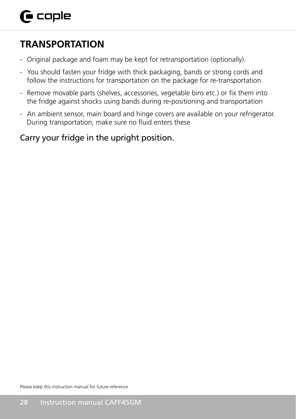## **TRANSPORTATION**

- Original package and foam may be kept for retransportation (optionally).
- You should fasten your fridge with thick packaging, bands or strong cords and follow the instructions for transportation on the package for re-transportation.
- Remove movable parts (shelves, accessories, vegetable bins etc.) or fix them into the fridge against shocks using bands during re-positioning and transportation
- An ambient sensor, main board and hinge covers are available on your refrigerator. During transportation, make sure no fluid enters these

### Carry your fridge in the upright position.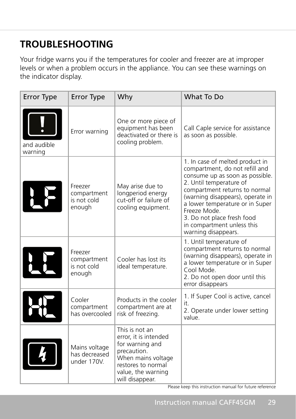## **TROUBLESHOOTING**

Your fridge warns you if the temperatures for cooler and freezer are at improper levels or when a problem occurs in the appliance. You can see these warnings on the indicator display.

| <b>Error Type</b>      | <b>Error Type</b>                               | Why                                                                                                                                                            | What To Do                                                                                                                                                                                                                                                                                                                                 |
|------------------------|-------------------------------------------------|----------------------------------------------------------------------------------------------------------------------------------------------------------------|--------------------------------------------------------------------------------------------------------------------------------------------------------------------------------------------------------------------------------------------------------------------------------------------------------------------------------------------|
| and audible<br>warning | Error warning                                   | One or more piece of<br>equipment has been<br>deactivated or there is<br>cooling problem.                                                                      | Call Caple service for assistance<br>as soon as possible.                                                                                                                                                                                                                                                                                  |
|                        | Freezer<br>compartment<br>is not cold<br>enough | May arise due to<br>longperiod energy<br>cut-off or failure of<br>cooling equipment.                                                                           | 1. In case of melted product in<br>compartment, do not refill and<br>consume up as soon as possible.<br>2. Until temperature of<br>compartment returns to normal<br>(warning disappears), operate in<br>a lower temperature or in Super<br>Freeze Mode.<br>3. Do not place fresh food<br>in compartment unless this<br>warning disappears. |
|                        | Freezer<br>compartment<br>is not cold<br>enough | Cooler has lost its<br>ideal temperature.                                                                                                                      | 1. Until temperature of<br>compartment returns to normal<br>(warning disappears), operate in<br>a lower temperature or in Super<br>Cool Mode.<br>2. Do not open door until this<br>error disappears                                                                                                                                        |
|                        | Cooler<br>compartment<br>has overcooled         | Products in the cooler<br>compartment are at<br>risk of freezing.                                                                                              | 1. If Super Cool is active, cancel<br>it.<br>2. Operate under lower setting<br>value.                                                                                                                                                                                                                                                      |
|                        | Mains voltage<br>has decreased<br>under 170V.   | This is not an<br>error, it is intended<br>for warning and<br>precaution.<br>When mains voltage<br>restores to normal<br>value, the warning<br>will disappear. |                                                                                                                                                                                                                                                                                                                                            |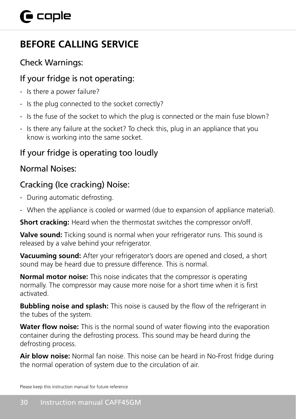## **BEFORE CALLING SERVICE**

### Check Warnings:

### If your fridge is not operating:

- Is there a power failure?
- Is the plug connected to the socket correctly?
- Is the fuse of the socket to which the plug is connected or the main fuse blown?
- Is there any failure at the socket? To check this, plug in an appliance that you know is working into the same socket.

### If your fridge is operating too loudly

### Normal Noises:

### Cracking (Ice cracking) Noise:

- During automatic defrosting.
- When the appliance is cooled or warmed (due to expansion of appliance material).

**Short cracking:** Heard when the thermostat switches the compressor on/off.

**Valve sound:** Ticking sound is normal when your refrigerator runs. This sound is released by a valve behind your refrigerator.

**Vacuuming sound:** After your refrigerator's doors are opened and closed, a short sound may be heard due to pressure difference. This is normal.

**Normal motor noise:** This noise indicates that the compressor is operating normally. The compressor may cause more noise for a short time when it is first activated.

**Bubbling noise and splash:** This noise is caused by the flow of the refrigerant in the tubes of the system.

**Water flow noise:** This is the normal sound of water flowing into the evaporation container during the defrosting process. This sound may be heard during the defrosting process.

**Air blow noise:** Normal fan noise. This noise can be heard in No-Frost fridge during the normal operation of system due to the circulation of air.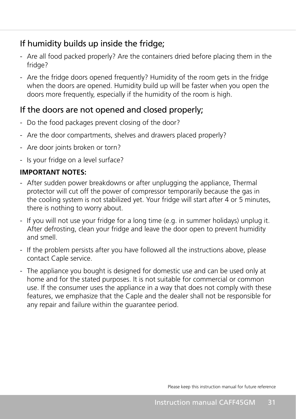### If humidity builds up inside the fridge;

- Are all food packed properly? Are the containers dried before placing them in the fridge?
- Are the fridge doors opened frequently? Humidity of the room gets in the fridge when the doors are opened. Humidity build up will be faster when you open the doors more frequently, especially if the humidity of the room is high.

### If the doors are not opened and closed properly;

- Do the food packages prevent closing of the door?
- Are the door compartments, shelves and drawers placed properly?
- Are door joints broken or torn?
- Is your fridge on a level surface?

### **IMPORTANT NOTES:**

- After sudden power breakdowns or after unplugging the appliance, Thermal protector will cut off the power of compressor temporarily because the gas in the cooling system is not stabilized yet. Your fridge will start after 4 or 5 minutes, there is nothing to worry about.
- If you will not use your fridge for a long time (e.g. in summer holidays) unplug it. After defrosting, clean your fridge and leave the door open to prevent humidity and smell.
- If the problem persists after you have followed all the instructions above, please contact Caple service.
- The appliance you bought is designed for domestic use and can be used only at home and for the stated purposes. It is not suitable for commercial or common use. If the consumer uses the appliance in a way that does not comply with these features, we emphasize that the Caple and the dealer shall not be responsible for any repair and failure within the guarantee period.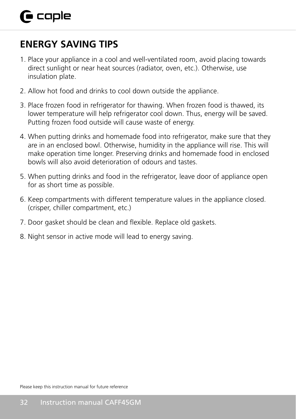## **ENERGY SAVING TIPS**

- 1. Place your appliance in a cool and well-ventilated room, avoid placing towards direct sunlight or near heat sources (radiator, oven, etc.). Otherwise, use insulation plate.
- 2. Allow hot food and drinks to cool down outside the appliance.
- 3. Place frozen food in refrigerator for thawing. When frozen food is thawed, its lower temperature will help refrigerator cool down. Thus, energy will be saved. Putting frozen food outside will cause waste of energy.
- 4. When putting drinks and homemade food into refrigerator, make sure that they are in an enclosed bowl. Otherwise, humidity in the appliance will rise. This will make operation time longer. Preserving drinks and homemade food in enclosed bowls will also avoid deterioration of odours and tastes.
- 5. When putting drinks and food in the refrigerator, leave door of appliance open for as short time as possible.
- 6. Keep compartments with different temperature values in the appliance closed. (crisper, chiller compartment, etc.)
- 7. Door gasket should be clean and flexible. Replace old gaskets.
- 8. Night sensor in active mode will lead to energy saving.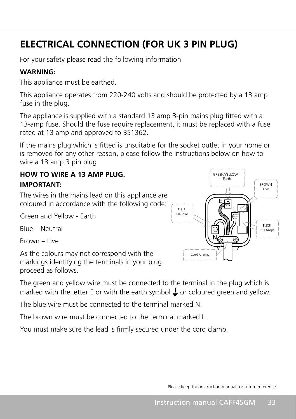## **ELECTRICAL CONNECTION (FOR UK 3 PIN PLUG)**

For your safety please read the following information

### **WARNING:**

This appliance must be earthed.

This appliance operates from 220-240 volts and should be protected by a 13 amp fuse in the plug.

The appliance is supplied with a standard 13 amp 3-pin mains plug fitted with a 13-amp fuse. Should the fuse require replacement, it must be replaced with a fuse rated at 13 amp and approved to BS1362.

If the mains plug which is fitted is unsuitable for the socket outlet in your home or is removed for any other reason, please follow the instructions below on how to wire a 13 amp 3 pin plug.

### **HOW TO WIRE A 13 AMP PLUG. IMPORTANT:**

The wires in the mains lead on this appliance are coloured in accordance with the following code:

Green and Yellow - Earth

Blue – Neutral

Brown – Live

As the colours may not correspond with the markings identifying the terminals in your plug proceed as follows.

The green and yellow wire must be connected to the terminal in the plug which is marked with the letter E or with the earth symbol  $\perp$  or coloured green and yellow.

The blue wire must be connected to the terminal marked N.

The brown wire must be connected to the terminal marked L.

You must make sure the lead is firmly secured under the cord clamp.

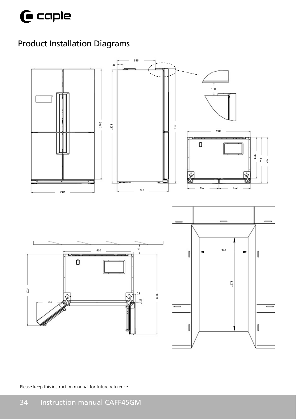## Product Installation Diagrams

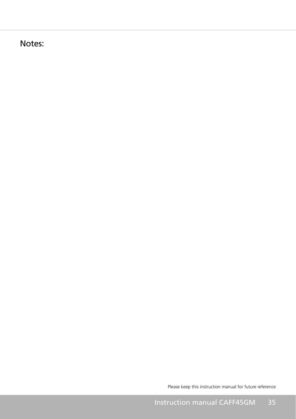Notes: